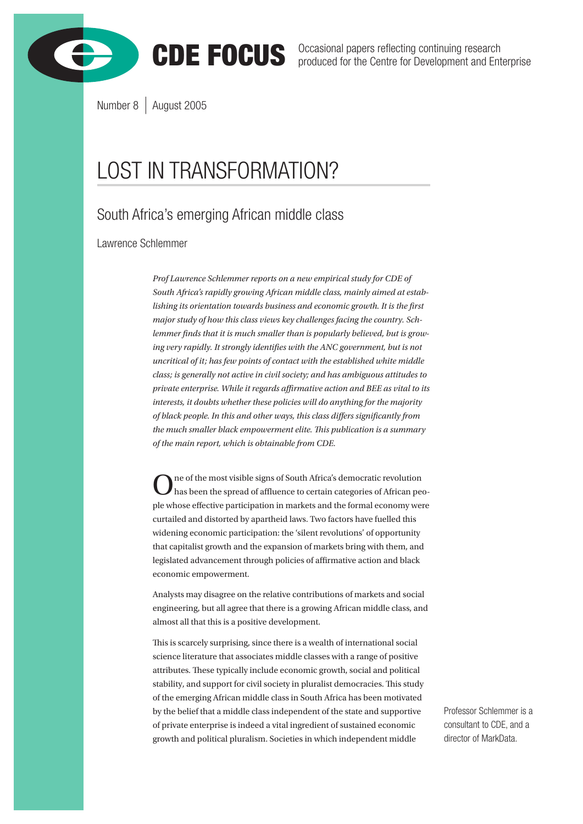



CDE FOCUS Occasional papers reflecting continuing research produced for the Centre for Development and Enterprise

Number 8 | August 2005

# LOST IN TRANSFORMATION?

# South Africa's emerging African middle class

Lawrence Schlemmer

*Prof Lawrence Schlemmer reports on a new empirical study for CDE of South Africa's rapidly growing African middle class, mainly aimed at establishing its orientation towards business and economic growth. It is the first major study of how this class views key challenges facing the country. Schlemmer finds that it is much smaller than is popularly believed, but is growing very rapidly. It strongly identifies with the ANC government, but is not uncritical of it; has few points of contact with the established white middle class; is generally not active in civil society; and has ambiguous attitudes to private enterprise. While it regards affirmative action and BEE as vital to its interests, it doubts whether these policies will do anything for the majority of black people. In this and other ways, this class differs significantly from the much smaller black empowerment elite. This publication is a summary of the main report, which is obtainable from CDE.*

 $\sum$ ne of the most visible signs of South Africa's democratic revolution has been the spread of affluence to certain categories of African people whose effective participation in markets and the formal economy were curtailed and distorted by apartheid laws. Two factors have fuelled this widening economic participation: the 'silent revolutions' of opportunity that capitalist growth and the expansion of markets bring with them, and legislated advancement through policies of affirmative action and black economic empowerment.

Analysts may disagree on the relative contributions of markets and social engineering, but all agree that there is a growing African middle class, and almost all that this is a positive development.

This is scarcely surprising, since there is a wealth of international social science literature that associates middle classes with a range of positive attributes. These typically include economic growth, social and political stability, and support for civil society in pluralist democracies. This study of the emerging African middle class in South Africa has been motivated by the belief that a middle class independent of the state and supportive of private enterprise is indeed a vital ingredient of sustained economic growth and political pluralism. Societies in which independent middle

Professor Schlemmer is a consultant to CDE, and a director of MarkData.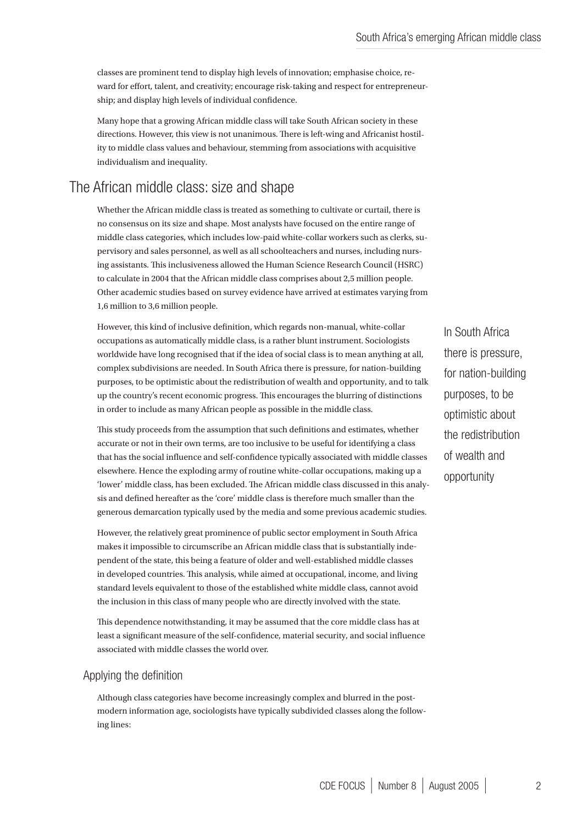classes are prominent tend to display high levels of innovation; emphasise choice, reward for effort, talent, and creativity; encourage risk-taking and respect for entrepreneurship; and display high levels of individual confidence.

Many hope that a growing African middle class will take South African society in these directions. However, this view is not unanimous. There is left-wing and Africanist hostility to middle class values and behaviour, stemming from associations with acquisitive individualism and inequality.

# The African middle class: size and shape

Whether the African middle class is treated as something to cultivate or curtail, there is no consensus on its size and shape. Most analysts have focused on the entire range of middle class categories, which includes low-paid white-collar workers such as clerks, supervisory and sales personnel, as well as all schoolteachers and nurses, including nursing assistants. This inclusiveness allowed the Human Science Research Council (HSRC) to calculate in 2004 that the African middle class comprises about 2,5 million people. Other academic studies based on survey evidence have arrived at estimates varying from 1,6 million to 3,6 million people.

However, this kind of inclusive definition, which regards non-manual, white-collar occupations as automatically middle class, is a rather blunt instrument. Sociologists worldwide have long recognised that if the idea of social class is to mean anything at all, complex subdivisions are needed. In South Africa there is pressure, for nation-building purposes, to be optimistic about the redistribution of wealth and opportunity, and to talk up the country's recent economic progress. This encourages the blurring of distinctions in order to include as many African people as possible in the middle class.

This study proceeds from the assumption that such definitions and estimates, whether accurate or not in their own terms, are too inclusive to be useful for identifying a class that has the social influence and self-confidence typically associated with middle classes elsewhere. Hence the exploding army of routine white-collar occupations, making up a 'lower' middle class, has been excluded. The African middle class discussed in this analysis and defined hereafter as the 'core' middle class is therefore much smaller than the generous demarcation typically used by the media and some previous academic studies.

However, the relatively great prominence of public sector employment in South Africa makes it impossible to circumscribe an African middle class that is substantially independent of the state, this being a feature of older and well-established middle classes in developed countries. This analysis, while aimed at occupational, income, and living standard levels equivalent to those of the established white middle class, cannot avoid the inclusion in this class of many people who are directly involved with the state.

This dependence notwithstanding, it may be assumed that the core middle class has at least a significant measure of the self-confidence, material security, and social influence associated with middle classes the world over.

### Applying the definition

Although class categories have become increasingly complex and blurred in the postmodern information age, sociologists have typically subdivided classes along the following lines:

In South Africa there is pressure, for nation-building purposes, to be optimistic about the redistribution of wealth and opportunity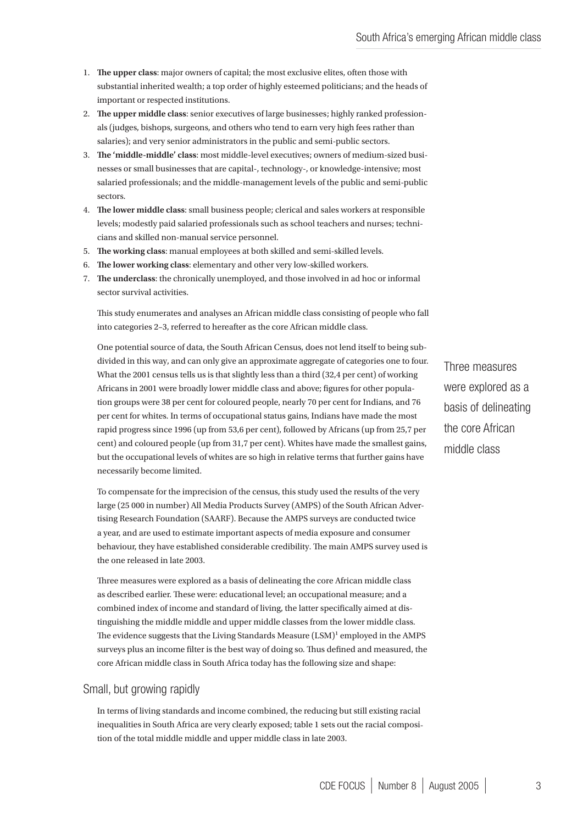- **The upper class**: major owners of capital; the most exclusive elites, often those with 1. substantial inherited wealth; a top order of highly esteemed politicians; and the heads of important or respected institutions.
- **The upper middle class**: senior executives of large businesses; highly ranked profession-2. als (judges, bishops, surgeons, and others who tend to earn very high fees rather than salaries); and very senior administrators in the public and semi-public sectors.
- **The 'middle-middle' class**: most middle-level executives; owners of medium-sized busi-3. nesses or small businesses that are capital-, technology-, or knowledge-intensive; most salaried professionals; and the middle-management levels of the public and semi-public sectors.
- **The lower middle class**: small business people; clerical and sales workers at responsible 4. levels; modestly paid salaried professionals such as school teachers and nurses; technicians and skilled non-manual service personnel.
- **The working class**: manual employees at both skilled and semi-skilled levels. 5.
- **The lower working class**: elementary and other very low-skilled workers. 6.
- **The underclass**: the chronically unemployed, and those involved in ad hoc or informal 7. sector survival activities.

This study enumerates and analyses an African middle class consisting of people who fall into categories 2–3, referred to hereafter as the core African middle class.

One potential source of data, the South African Census, does not lend itself to being subdivided in this way, and can only give an approximate aggregate of categories one to four. What the 2001 census tells us is that slightly less than a third (32,4 per cent) of working Africans in 2001 were broadly lower middle class and above; figures for other population groups were 38 per cent for coloured people, nearly 70 per cent for Indians, and 76 per cent for whites. In terms of occupational status gains, Indians have made the most rapid progress since 1996 (up from 53,6 per cent), followed by Africans (up from 25,7 per cent) and coloured people (up from 31,7 per cent). Whites have made the smallest gains, but the occupational levels of whites are so high in relative terms that further gains have necessarily become limited.

To compensate for the imprecision of the census, this study used the results of the very large (25 000 in number) All Media Products Survey (AMPS) of the South African Advertising Research Foundation (SAARF). Because the AMPS surveys are conducted twice a year, and are used to estimate important aspects of media exposure and consumer behaviour, they have established considerable credibility. The main AMPS survey used is the one released in late 2003.

Three measures were explored as a basis of delineating the core African middle class as described earlier. These were: educational level; an occupational measure; and a combined index of income and standard of living, the latter specifically aimed at distinguishing the middle middle and upper middle classes from the lower middle class. The evidence suggests that the Living Standards Measure (LSM)<sup>1</sup> employed in the AMPS surveys plus an income filter is the best way of doing so. Thus defined and measured, the core African middle class in South Africa today has the following size and shape:

### Small, but growing rapidly

In terms of living standards and income combined, the reducing but still existing racial inequalities in South Africa are very clearly exposed; table 1 sets out the racial composition of the total middle middle and upper middle class in late 2003.

Three measures were explored as a basis of delineating the core African middle class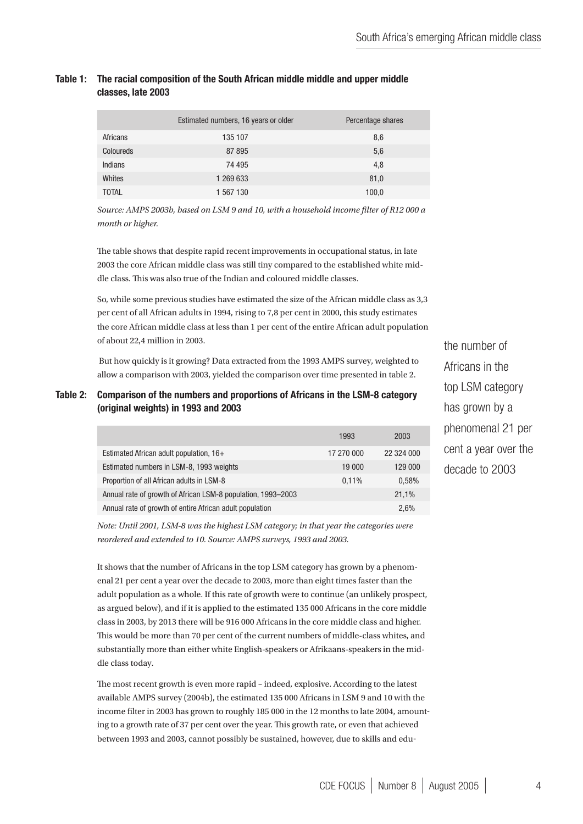| Table 1: The racial composition of the South African middle middle and upper middle<br>classes. late 2003 |  |  |  |  |
|-----------------------------------------------------------------------------------------------------------|--|--|--|--|
|                                                                                                           |  |  |  |  |

|              | Estimated numbers, 16 years or older | Percentage shares |
|--------------|--------------------------------------|-------------------|
| Africans     | 135 107                              | 8,6               |
| Coloureds    | 87 895                               | 5,6               |
| Indians      | 74 495                               | 4,8               |
| Whites       | 1 269 633                            | 81,0              |
| <b>TOTAL</b> | 1 567 130                            | 100,0             |

*Source: AMPS 2003b, based on LSM 9 and 10, with a household income filter of R12 000 a month or higher.*

The table shows that despite rapid recent improvements in occupational status, in late 2003 the core African middle class was still tiny compared to the established white middle class. This was also true of the Indian and coloured middle classes.

So, while some previous studies have estimated the size of the African middle class as 3,3 per cent of all African adults in 1994, rising to 7,8 per cent in 2000, this study estimates the core African middle class at less than 1 per cent of the entire African adult population of about 22,4 million in 2003.

 But how quickly is it growing? Data extracted from the 1993 AMPS survey, weighted to allow a comparison with 2003, yielded the comparison over time presented in table 2.

### Table 2: Comparison of the numbers and proportions of Africans in the LSM-8 category (original weights) in 1993 and 2003

|                                                              | 1993       | 2003       |
|--------------------------------------------------------------|------------|------------|
| Estimated African adult population, 16+                      | 17 270 000 | 22 324 000 |
| Estimated numbers in LSM-8, 1993 weights                     | 19 000     | 129 000    |
| Proportion of all African adults in LSM-8                    | 0.11%      | 0.58%      |
| Annual rate of growth of African LSM-8 population, 1993–2003 |            | 21.1%      |
| Annual rate of growth of entire African adult population     |            | 2.6%       |

*Note: Until 2001, LSM-8 was the highest LSM category; in that year the categories were reordered and extended to 10. Source: AMPS surveys, 1993 and 2003.*

It shows that the number of Africans in the top LSM category has grown by a phenomenal 21 per cent a year over the decade to 2003, more than eight times faster than the adult population as a whole. If this rate of growth were to continue (an unlikely prospect, as argued below), and if it is applied to the estimated 135 000 Africans in the core middle class in 2003, by 2013 there will be 916 000 Africans in the core middle class and higher. This would be more than 70 per cent of the current numbers of middle-class whites, and substantially more than either white English-speakers or Afrikaans-speakers in the middle class today.

The most recent growth is even more rapid – indeed, explosive. According to the latest available AMPS survey (2004b), the estimated 135 000 Africans in LSM 9 and 10 with the income filter in 2003 has grown to roughly 185 000 in the 12 months to late 2004, amounting to a growth rate of 37 per cent over the year. This growth rate, or even that achieved between 1993 and 2003, cannot possibly be sustained, however, due to skills and eduthe number of Africans in the top LSM category has grown by a phenomenal 21 per cent a year over the decade to 2003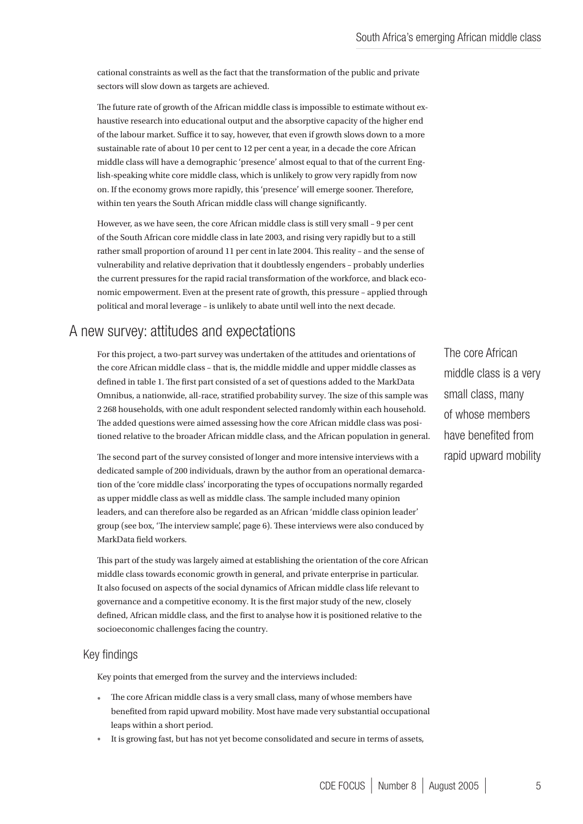cational constraints as well as the fact that the transformation of the public and private sectors will slow down as targets are achieved.

The future rate of growth of the African middle class is impossible to estimate without exhaustive research into educational output and the absorptive capacity of the higher end of the labour market. Suffice it to say, however, that even if growth slows down to a more sustainable rate of about 10 per cent to 12 per cent a year, in a decade the core African middle class will have a demographic 'presence' almost equal to that of the current English-speaking white core middle class, which is unlikely to grow very rapidly from now on. If the economy grows more rapidly, this 'presence' will emerge sooner. Therefore, within ten years the South African middle class will change significantly.

However, as we have seen, the core African middle class is still very small – 9 per cent of the South African core middle class in late 2003, and rising very rapidly but to a still rather small proportion of around 11 per cent in late 2004. This reality – and the sense of vulnerability and relative deprivation that it doubtlessly engenders – probably underlies the current pressures for the rapid racial transformation of the workforce, and black economic empowerment. Even at the present rate of growth, this pressure – applied through political and moral leverage – is unlikely to abate until well into the next decade.

# A new survey: attitudes and expectations

For this project, a two-part survey was undertaken of the attitudes and orientations of the core African middle class – that is, the middle middle and upper middle classes as defined in table 1. The first part consisted of a set of questions added to the MarkData Omnibus, a nationwide, all-race, stratified probability survey. The size of this sample was 2 268 households, with one adult respondent selected randomly within each household. The added questions were aimed assessing how the core African middle class was positioned relative to the broader African middle class, and the African population in general.

The second part of the survey consisted of longer and more intensive interviews with a dedicated sample of 200 individuals, drawn by the author from an operational demarcation of the 'core middle class' incorporating the types of occupations normally regarded as upper middle class as well as middle class. The sample included many opinion leaders, and can therefore also be regarded as an African 'middle class opinion leader' group (see box, 'The interview sample', page 6). These interviews were also conduced by MarkData field workers.

This part of the study was largely aimed at establishing the orientation of the core African middle class towards economic growth in general, and private enterprise in particular. It also focused on aspects of the social dynamics of African middle class life relevant to governance and a competitive economy. It is the first major study of the new, closely defined, African middle class, and the first to analyse how it is positioned relative to the socioeconomic challenges facing the country.

#### Key findings

Key points that emerged from the survey and the interviews included:

- The core African middle class is a very small class, many of whose members have benefited from rapid upward mobility. Most have made very substantial occupational leaps within a short period.
- It is growing fast, but has not yet become consolidated and secure in terms of assets,

The core African middle class is a very small class, many of whose members have benefited from rapid upward mobility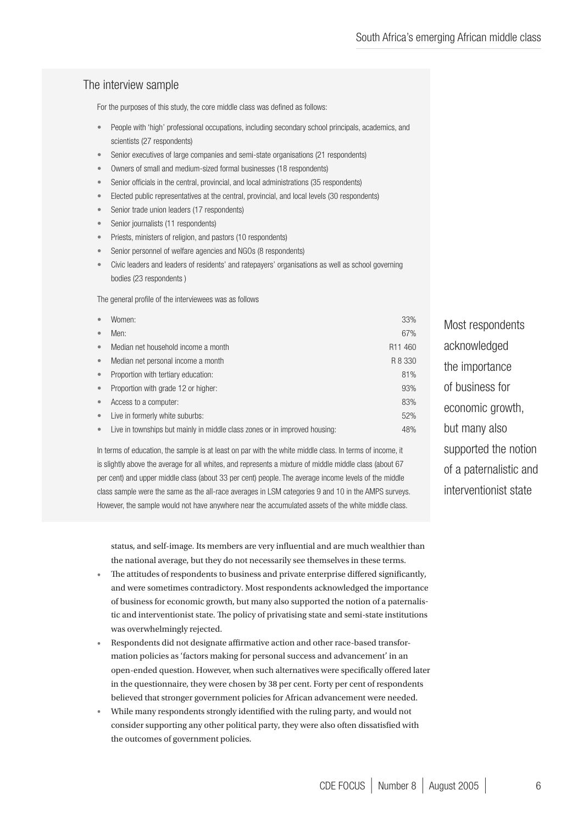# The interview sample

For the purposes of this study, the core middle class was defined as follows:

- People with 'high' professional occupations, including secondary school principals, academics, and scientists (27 respondents) •
- Senior executives of large companies and semi-state organisations (21 respondents) •
- Owners of small and medium-sized formal businesses (18 respondents) •
- Senior officials in the central, provincial, and local administrations (35 respondents) •
- Elected public representatives at the central, provincial, and local levels (30 respondents) •
- Senior trade union leaders (17 respondents) •
- Senior journalists (11 respondents) •
- Priests, ministers of religion, and pastors (10 respondents) •
- Senior personnel of welfare agencies and NGOs (8 respondents) •
- Civic leaders and leaders of residents' and ratepayers' organisations as well as school governing bodies (23 respondents ) •

The general profile of the interviewees was as follows

| $\bullet$ | Women:                                                                     | 33%                 | Most re |
|-----------|----------------------------------------------------------------------------|---------------------|---------|
| $\bullet$ | Men:                                                                       | 67%                 |         |
| $\bullet$ | Median net household income a month                                        | R <sub>11</sub> 460 | acknov  |
| $\bullet$ | Median net personal income a month                                         | R 8 330             | the imp |
| $\bullet$ | Proportion with tertiary education:                                        | 81%                 |         |
| $\bullet$ | Proportion with grade 12 or higher:                                        | 93%                 | of busi |
| $\bullet$ | Access to a computer:                                                      | 83%                 | econor  |
| $\bullet$ | Live in formerly white suburbs:                                            | 52%                 |         |
| $\bullet$ | Live in townships but mainly in middle class zones or in improved housing: | 48%                 | but ma  |
|           |                                                                            |                     |         |

In terms of education, the sample is at least on par with the white middle class. In terms of income, it is slightly above the average for all whites, and represents a mixture of middle middle class (about 67 per cent) and upper middle class (about 33 per cent) people. The average income levels of the middle class sample were the same as the all-race averages in LSM categories 9 and 10 in the AMPS surveys. However, the sample would not have anywhere near the accumulated assets of the white middle class.

status, and self-image. Its members are very influential and are much wealthier than the national average, but they do not necessarily see themselves in these terms.

- The attitudes of respondents to business and private enterprise differed significantly, and were sometimes contradictory. Most respondents acknowledged the importance of business for economic growth, but many also supported the notion of a paternalistic and interventionist state. The policy of privatising state and semi-state institutions was overwhelmingly rejected. •
- Respondents did not designate affirmative action and other race-based transformation policies as 'factors making for personal success and advancement' in an open-ended question. However, when such alternatives were specifically offered later in the questionnaire, they were chosen by 38 per cent. Forty per cent of respondents believed that stronger government policies for African advancement were needed. •
- While many respondents strongly identified with the ruling party, and would not consider supporting any other political party, they were also often dissatisfied with the outcomes of government policies. •

espondents wledged nortance ness for nic growth, any also supported the notion of a paternalistic and interventionist state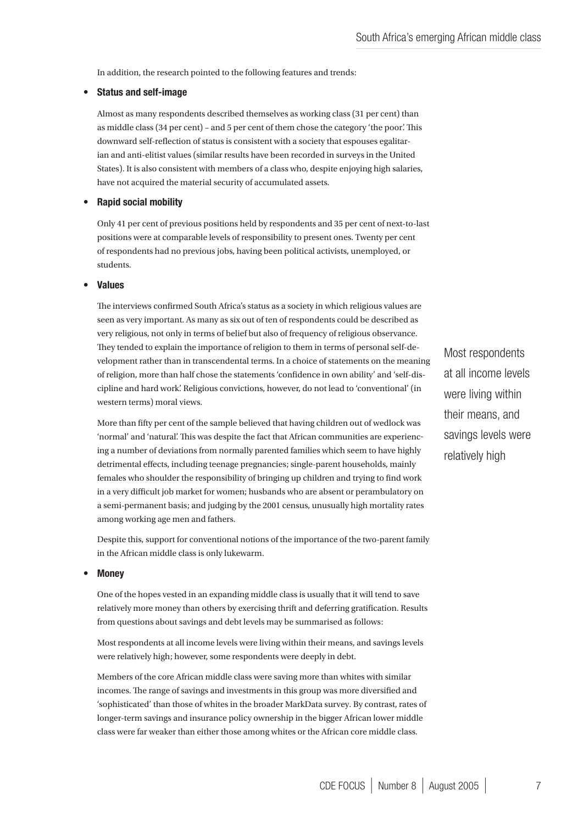In addition, the research pointed to the following features and trends:

#### Status and self-image •

Almost as many respondents described themselves as working class (31 per cent) than as middle class (34 per cent) – and 5 per cent of them chose the category 'the poor'. This downward self-reflection of status is consistent with a society that espouses egalitarian and anti-elitist values (similar results have been recorded in surveys in the United States). It is also consistent with members of a class who, despite enjoying high salaries, have not acquired the material security of accumulated assets.

#### Rapid social mobility •

Only 41 per cent of previous positions held by respondents and 35 per cent of next-to-last positions were at comparable levels of responsibility to present ones. Twenty per cent of respondents had no previous jobs, having been political activists, unemployed, or students.

#### Values •

The interviews confirmed South Africa's status as a society in which religious values are seen as very important. As many as six out of ten of respondents could be described as very religious, not only in terms of belief but also of frequency of religious observance. They tended to explain the importance of religion to them in terms of personal self-development rather than in transcendental terms. In a choice of statements on the meaning of religion, more than half chose the statements 'confidence in own ability' and 'self-discipline and hard work'. Religious convictions, however, do not lead to 'conventional' (in western terms) moral views.

More than fifty per cent of the sample believed that having children out of wedlock was 'normal' and 'natural'. This was despite the fact that African communities are experiencing a number of deviations from normally parented families which seem to have highly detrimental effects, including teenage pregnancies; single-parent households, mainly females who shoulder the responsibility of bringing up children and trying to find work in a very difficult job market for women; husbands who are absent or perambulatory on a semi-permanent basis; and judging by the 2001 census, unusually high mortality rates among working age men and fathers.

Despite this, support for conventional notions of the importance of the two-parent family in the African middle class is only lukewarm.

#### **Money** •

One of the hopes vested in an expanding middle class is usually that it will tend to save relatively more money than others by exercising thrift and deferring gratification. Results from questions about savings and debt levels may be summarised as follows:

Most respondents at all income levels were living within their means, and savings levels were relatively high; however, some respondents were deeply in debt.

Members of the core African middle class were saving more than whites with similar incomes. The range of savings and investments in this group was more diversified and 'sophisticated' than those of whites in the broader MarkData survey. By contrast, rates of longer-term savings and insurance policy ownership in the bigger African lower middle class were far weaker than either those among whites or the African core middle class.

Most respondents at all income levels were living within their means, and savings levels were relatively high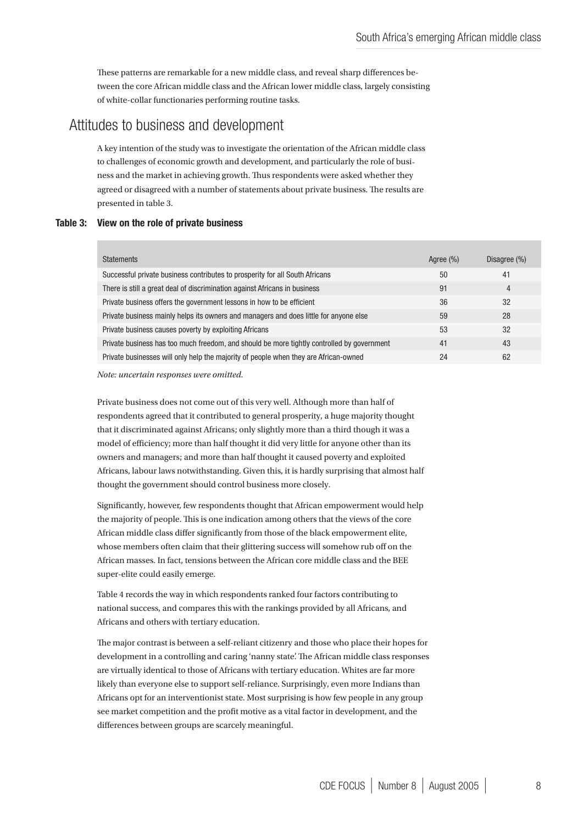These patterns are remarkable for a new middle class, and reveal sharp differences between the core African middle class and the African lower middle class, largely consisting of white-collar functionaries performing routine tasks.

# Attitudes to business and development

A key intention of the study was to investigate the orientation of the African middle class to challenges of economic growth and development, and particularly the role of business and the market in achieving growth. Thus respondents were asked whether they agreed or disagreed with a number of statements about private business. The results are presented in table 3.

### Table 3: View on the role of private business

| <b>Statements</b>                                                                          | Agree (%) | Disagree (%) |
|--------------------------------------------------------------------------------------------|-----------|--------------|
| Successful private business contributes to prosperity for all South Africans               | 50        | 41           |
| There is still a great deal of discrimination against Africans in business                 | 91        | 4            |
| Private business offers the government lessons in how to be efficient                      | 36        | 32           |
| Private business mainly helps its owners and managers and does little for anyone else      | 59        | 28           |
| Private business causes poverty by exploiting Africans                                     | 53        | 32           |
| Private business has too much freedom, and should be more tightly controlled by government | 41        | 43           |
| Private businesses will only help the majority of people when they are African-owned       | 24        | 62           |

*Note: uncertain responses were omitted.*

Private business does not come out of this very well. Although more than half of respondents agreed that it contributed to general prosperity, a huge majority thought that it discriminated against Africans; only slightly more than a third though it was a model of efficiency; more than half thought it did very little for anyone other than its owners and managers; and more than half thought it caused poverty and exploited Africans, labour laws notwithstanding. Given this, it is hardly surprising that almost half thought the government should control business more closely.

Significantly, however, few respondents thought that African empowerment would help the majority of people. This is one indication among others that the views of the core African middle class differ significantly from those of the black empowerment elite, whose members often claim that their glittering success will somehow rub off on the African masses. In fact, tensions between the African core middle class and the BEE super-elite could easily emerge.

Table 4 records the way in which respondents ranked four factors contributing to national success, and compares this with the rankings provided by all Africans, and Africans and others with tertiary education.

The major contrast is between a self-reliant citizenry and those who place their hopes for development in a controlling and caring 'nanny state'. The African middle class responses are virtually identical to those of Africans with tertiary education. Whites are far more likely than everyone else to support self-reliance. Surprisingly, even more Indians than Africans opt for an interventionist state. Most surprising is how few people in any group see market competition and the profit motive as a vital factor in development, and the differences between groups are scarcely meaningful.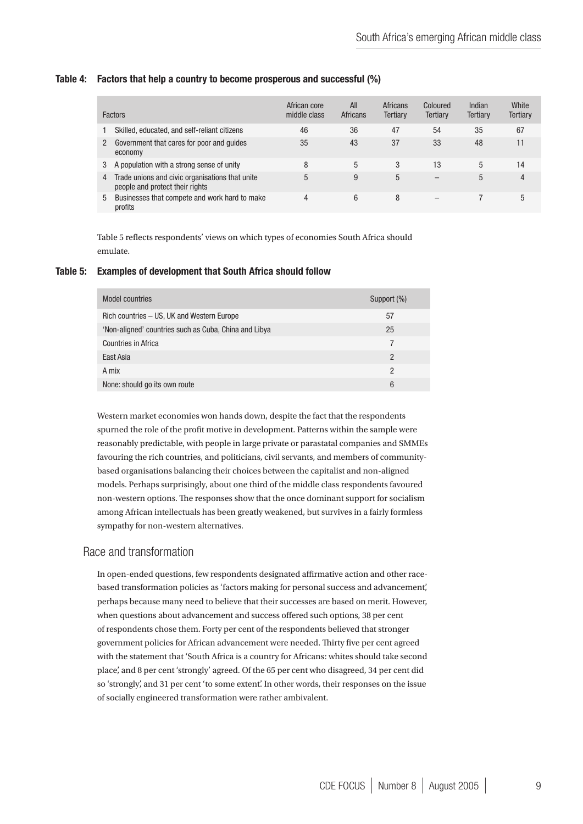#### Table 4: Factors that help a country to become prosperous and successful (%)

|   | <b>Factors</b>                                                                     | African core<br>middle class | All<br><b>Africans</b> | <b>Africans</b><br>Tertiary | Coloured<br>Tertiary | Indian<br><b>Tertiary</b> | White<br>Tertiary |
|---|------------------------------------------------------------------------------------|------------------------------|------------------------|-----------------------------|----------------------|---------------------------|-------------------|
|   | Skilled, educated, and self-reliant citizens                                       | 46                           | 36                     | 47                          | 54                   | 35                        | 67                |
| 2 | Government that cares for poor and quides<br>economy                               | 35                           | 43                     | 37                          | 33                   | 48                        | 11                |
| 3 | A population with a strong sense of unity                                          | 8                            | 5                      | 3                           | 13                   | 5                         | 14                |
| 4 | Trade unions and civic organisations that unite<br>people and protect their rights | 5                            | 9                      | 5                           |                      | 5                         | 4                 |
| 5 | Businesses that compete and work hard to make<br>profits                           | 4                            | 6                      | 8                           |                      |                           | 5                 |

Table 5 reflects respondents' views on which types of economies South Africa should emulate.

### Table 5: Examples of development that South Africa should follow

| <b>Model countries</b>                                | Support (%) |
|-------------------------------------------------------|-------------|
| Rich countries - US, UK and Western Europe            | 57          |
| 'Non-aligned' countries such as Cuba, China and Libya | 25          |
| Countries in Africa                                   |             |
| East Asia                                             | 2           |
| A mix                                                 | 2           |
| None: should go its own route                         | 6           |

Western market economies won hands down, despite the fact that the respondents spurned the role of the profit motive in development. Patterns within the sample were reasonably predictable, with people in large private or parastatal companies and SMMEs favouring the rich countries, and politicians, civil servants, and members of communitybased organisations balancing their choices between the capitalist and non-aligned models. Perhaps surprisingly, about one third of the middle class respondents favoured non-western options. The responses show that the once dominant support for socialism among African intellectuals has been greatly weakened, but survives in a fairly formless sympathy for non-western alternatives.

### Race and transformation

In open-ended questions, few respondents designated affirmative action and other racebased transformation policies as 'factors making for personal success and advancement', perhaps because many need to believe that their successes are based on merit. However, when questions about advancement and success offered such options, 38 per cent of respondents chose them. Forty per cent of the respondents believed that stronger government policies for African advancement were needed. Thirty five per cent agreed with the statement that 'South Africa is a country for Africans: whites should take second place', and 8 per cent 'strongly' agreed. Of the 65 per cent who disagreed, 34 per cent did so 'strongly', and 31 per cent 'to some extent'. In other words, their responses on the issue of socially engineered transformation were rather ambivalent.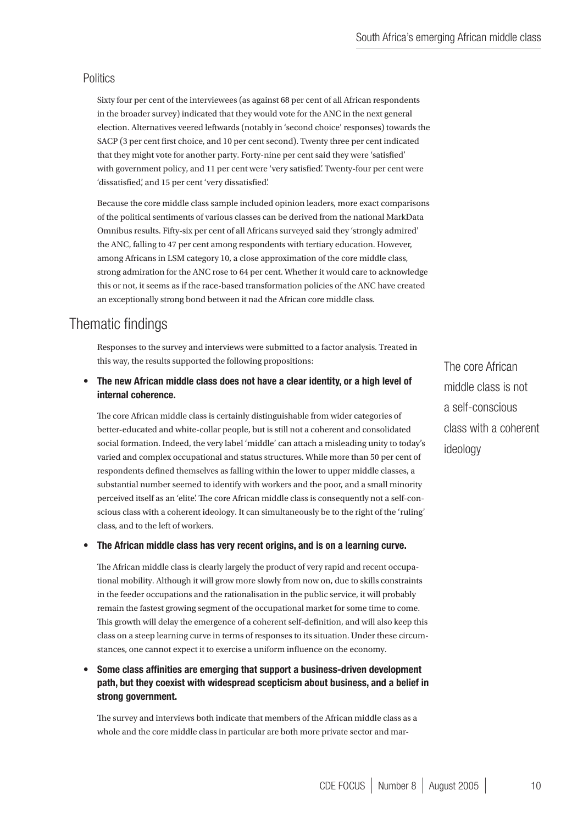### **Politics**

Sixty four per cent of the interviewees (as against 68 per cent of all African respondents in the broader survey) indicated that they would vote for the ANC in the next general election. Alternatives veered leftwards (notably in 'second choice' responses) towards the SACP (3 per cent first choice, and 10 per cent second). Twenty three per cent indicated that they might vote for another party. Forty-nine per cent said they were 'satisfied' with government policy, and 11 per cent were 'very satisfied'. Twenty-four per cent were 'dissatisfied', and 15 per cent 'very dissatisfied'.

Because the core middle class sample included opinion leaders, more exact comparisons of the political sentiments of various classes can be derived from the national MarkData Omnibus results. Fifty-six per cent of all Africans surveyed said they 'strongly admired' the ANC, falling to 47 per cent among respondents with tertiary education. However, among Africans in LSM category 10, a close approximation of the core middle class, strong admiration for the ANC rose to 64 per cent. Whether it would care to acknowledge this or not, it seems as if the race-based transformation policies of the ANC have created an exceptionally strong bond between it nad the African core middle class.

# Thematic findings

Responses to the survey and interviews were submitted to a factor analysis. Treated in this way, the results supported the following propositions:

The new African middle class does not have a clear identity, or a high level of internal coherence. •

The core African middle class is certainly distinguishable from wider categories of better-educated and white-collar people, but is still not a coherent and consolidated social formation. Indeed, the very label 'middle' can attach a misleading unity to today's varied and complex occupational and status structures. While more than 50 per cent of respondents defined themselves as falling within the lower to upper middle classes, a substantial number seemed to identify with workers and the poor, and a small minority perceived itself as an 'elite'. The core African middle class is consequently not a self-conscious class with a coherent ideology. It can simultaneously be to the right of the 'ruling' class, and to the left of workers.

#### The African middle class has very recent origins, and is on a learning curve. •

The African middle class is clearly largely the product of very rapid and recent occupational mobility. Although it will grow more slowly from now on, due to skills constraints in the feeder occupations and the rationalisation in the public service, it will probably remain the fastest growing segment of the occupational market for some time to come. This growth will delay the emergence of a coherent self-definition, and will also keep this class on a steep learning curve in terms of responses to its situation. Under these circumstances, one cannot expect it to exercise a uniform influence on the economy.

Some class affinities are emerging that support a business-driven development path, but they coexist with widespread scepticism about business, and a belief in strong government. •

The survey and interviews both indicate that members of the African middle class as a whole and the core middle class in particular are both more private sector and mar-

The core African middle class is not a self-conscious class with a coherent ideology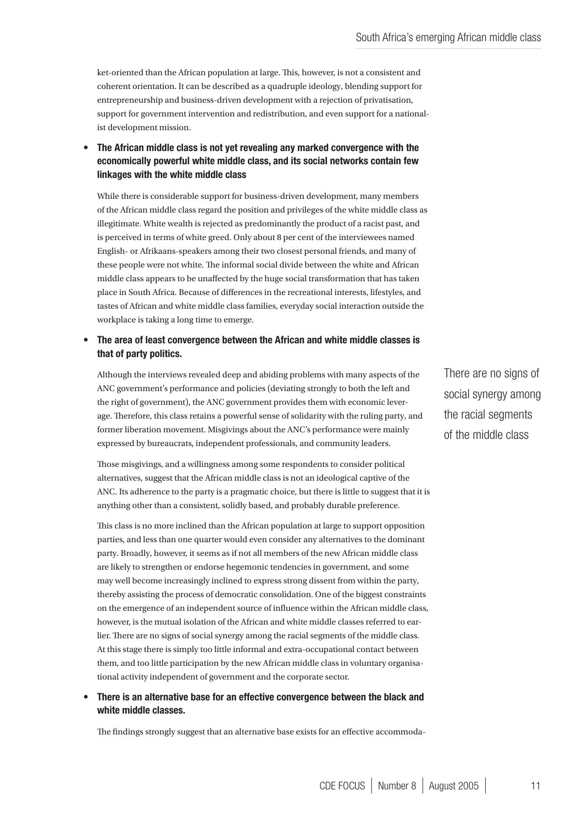ket-oriented than the African population at large. This, however, is not a consistent and coherent orientation. It can be described as a quadruple ideology, blending support for entrepreneurship and business-driven development with a rejection of privatisation, support for government intervention and redistribution, and even support for a nationalist development mission.

The African middle class is not yet revealing any marked convergence with the economically powerful white middle class, and its social networks contain few linkages with the white middle class •

While there is considerable support for business-driven development, many members of the African middle class regard the position and privileges of the white middle class as illegitimate. White wealth is rejected as predominantly the product of a racist past, and is perceived in terms of white greed. Only about 8 per cent of the interviewees named English- or Afrikaans-speakers among their two closest personal friends, and many of these people were not white. The informal social divide between the white and African middle class appears to be unaffected by the huge social transformation that has taken place in South Africa. Because of differences in the recreational interests, lifestyles, and tastes of African and white middle class families, everyday social interaction outside the workplace is taking a long time to emerge.

#### The area of least convergence between the African and white middle classes is that of party politics. •

Although the interviews revealed deep and abiding problems with many aspects of the ANC government's performance and policies (deviating strongly to both the left and the right of government), the ANC government provides them with economic leverage. Therefore, this class retains a powerful sense of solidarity with the ruling party, and former liberation movement. Misgivings about the ANC's performance were mainly expressed by bureaucrats, independent professionals, and community leaders.

Those misgivings, and a willingness among some respondents to consider political alternatives, suggest that the African middle class is not an ideological captive of the ANC. Its adherence to the party is a pragmatic choice, but there is little to suggest that it is anything other than a consistent, solidly based, and probably durable preference.

This class is no more inclined than the African population at large to support opposition parties, and less than one quarter would even consider any alternatives to the dominant party. Broadly, however, it seems as if not all members of the new African middle class are likely to strengthen or endorse hegemonic tendencies in government, and some may well become increasingly inclined to express strong dissent from within the party, thereby assisting the process of democratic consolidation. One of the biggest constraints on the emergence of an independent source of influence within the African middle class, however, is the mutual isolation of the African and white middle classes referred to earlier. There are no signs of social synergy among the racial segments of the middle class. At this stage there is simply too little informal and extra-occupational contact between them, and too little participation by the new African middle class in voluntary organisational activity independent of government and the corporate sector.

#### There is an alternative base for an effective convergence between the black and white middle classes. •

The findings strongly suggest that an alternative base exists for an effective accommoda-

There are no signs of social synergy among the racial segments of the middle class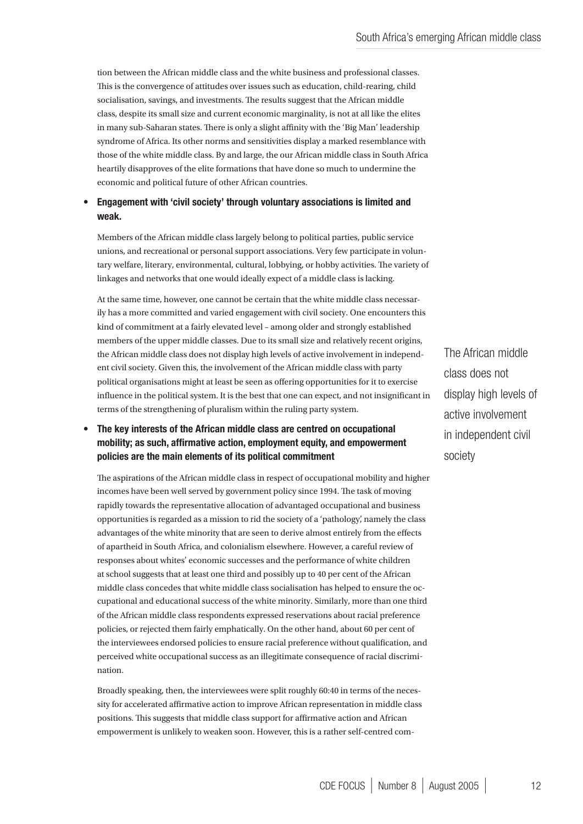tion between the African middle class and the white business and professional classes. This is the convergence of attitudes over issues such as education, child-rearing, child socialisation, savings, and investments. The results suggest that the African middle class, despite its small size and current economic marginality, is not at all like the elites in many sub-Saharan states. There is only a slight affinity with the 'Big Man' leadership syndrome of Africa. Its other norms and sensitivities display a marked resemblance with those of the white middle class. By and large, the our African middle class in South Africa heartily disapproves of the elite formations that have done so much to undermine the economic and political future of other African countries.

#### Engagement with 'civil society' through voluntary associations is limited and weak. •

Members of the African middle class largely belong to political parties, public service unions, and recreational or personal support associations. Very few participate in voluntary welfare, literary, environmental, cultural, lobbying, or hobby activities. The variety of linkages and networks that one would ideally expect of a middle class is lacking.

At the same time, however, one cannot be certain that the white middle class necessarily has a more committed and varied engagement with civil society. One encounters this kind of commitment at a fairly elevated level – among older and strongly established members of the upper middle classes. Due to its small size and relatively recent origins, the African middle class does not display high levels of active involvement in independent civil society. Given this, the involvement of the African middle class with party political organisations might at least be seen as offering opportunities for it to exercise influence in the political system. It is the best that one can expect, and not insignificant in terms of the strengthening of pluralism within the ruling party system.

#### The key interests of the African middle class are centred on occupational mobility; as such, affirmative action, employment equity, and empowerment policies are the main elements of its political commitment •

The aspirations of the African middle class in respect of occupational mobility and higher incomes have been well served by government policy since 1994. The task of moving rapidly towards the representative allocation of advantaged occupational and business opportunities is regarded as a mission to rid the society of a 'pathology', namely the class advantages of the white minority that are seen to derive almost entirely from the effects of apartheid in South Africa, and colonialism elsewhere. However, a careful review of responses about whites' economic successes and the performance of white children at school suggests that at least one third and possibly up to 40 per cent of the African middle class concedes that white middle class socialisation has helped to ensure the occupational and educational success of the white minority. Similarly, more than one third of the African middle class respondents expressed reservations about racial preference policies, or rejected them fairly emphatically. On the other hand, about 60 per cent of the interviewees endorsed policies to ensure racial preference without qualification, and perceived white occupational success as an illegitimate consequence of racial discrimination.

Broadly speaking, then, the interviewees were split roughly 60:40 in terms of the necessity for accelerated affirmative action to improve African representation in middle class positions. This suggests that middle class support for affirmative action and African empowerment is unlikely to weaken soon. However, this is a rather self-centred com-

The African middle class does not display high levels of active involvement in independent civil society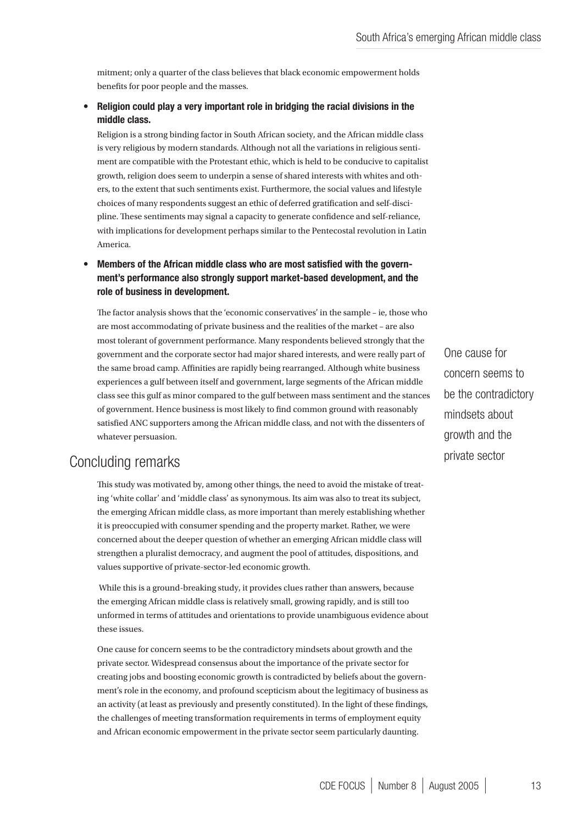mitment; only a quarter of the class believes that black economic empowerment holds benefits for poor people and the masses.

#### Religion could play a very important role in bridging the racial divisions in the middle class. •

Religion is a strong binding factor in South African society, and the African middle class is very religious by modern standards. Although not all the variations in religious sentiment are compatible with the Protestant ethic, which is held to be conducive to capitalist growth, religion does seem to underpin a sense of shared interests with whites and others, to the extent that such sentiments exist. Furthermore, the social values and lifestyle choices of many respondents suggest an ethic of deferred gratification and self-discipline. These sentiments may signal a capacity to generate confidence and self-reliance, with implications for development perhaps similar to the Pentecostal revolution in Latin America.

#### Members of the African middle class who are most satisfied with the government's performance also strongly support market-based development, and the role of business in development. •

The factor analysis shows that the 'economic conservatives' in the sample – ie, those who are most accommodating of private business and the realities of the market – are also most tolerant of government performance. Many respondents believed strongly that the government and the corporate sector had major shared interests, and were really part of the same broad camp. Affinities are rapidly being rearranged. Although white business experiences a gulf between itself and government, large segments of the African middle class see this gulf as minor compared to the gulf between mass sentiment and the stances of government. Hence business is most likely to find common ground with reasonably satisfied ANC supporters among the African middle class, and not with the dissenters of whatever persuasion.

# Concluding remarks

This study was motivated by, among other things, the need to avoid the mistake of treating 'white collar' and 'middle class' as synonymous. Its aim was also to treat its subject, the emerging African middle class, as more important than merely establishing whether it is preoccupied with consumer spending and the property market. Rather, we were concerned about the deeper question of whether an emerging African middle class will strengthen a pluralist democracy, and augment the pool of attitudes, dispositions, and values supportive of private-sector-led economic growth.

 While this is a ground-breaking study, it provides clues rather than answers, because the emerging African middle class is relatively small, growing rapidly, and is still too unformed in terms of attitudes and orientations to provide unambiguous evidence about these issues.

One cause for concern seems to be the contradictory mindsets about growth and the private sector. Widespread consensus about the importance of the private sector for creating jobs and boosting economic growth is contradicted by beliefs about the government's role in the economy, and profound scepticism about the legitimacy of business as an activity (at least as previously and presently constituted). In the light of these findings, the challenges of meeting transformation requirements in terms of employment equity and African economic empowerment in the private sector seem particularly daunting.

One cause for concern seems to be the contradictory mindsets about growth and the private sector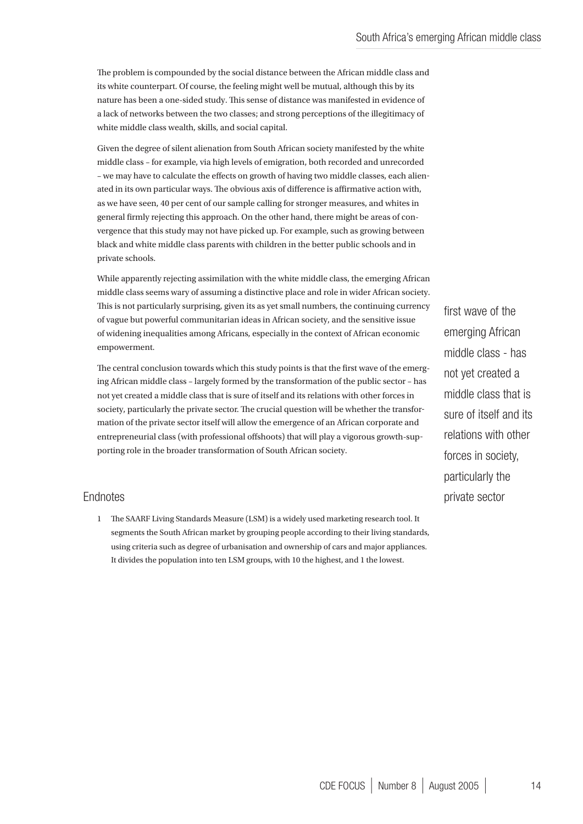The problem is compounded by the social distance between the African middle class and its white counterpart. Of course, the feeling might well be mutual, although this by its nature has been a one-sided study. This sense of distance was manifested in evidence of a lack of networks between the two classes; and strong perceptions of the illegitimacy of white middle class wealth, skills, and social capital.

Given the degree of silent alienation from South African society manifested by the white middle class – for example, via high levels of emigration, both recorded and unrecorded – we may have to calculate the effects on growth of having two middle classes, each alienated in its own particular ways. The obvious axis of difference is affirmative action with, as we have seen, 40 per cent of our sample calling for stronger measures, and whites in general firmly rejecting this approach. On the other hand, there might be areas of convergence that this study may not have picked up. For example, such as growing between black and white middle class parents with children in the better public schools and in private schools.

While apparently rejecting assimilation with the white middle class, the emerging African middle class seems wary of assuming a distinctive place and role in wider African society. This is not particularly surprising, given its as yet small numbers, the continuing currency of vague but powerful communitarian ideas in African society, and the sensitive issue of widening inequalities among Africans, especially in the context of African economic empowerment.

The central conclusion towards which this study points is that the first wave of the emerging African middle class – largely formed by the transformation of the public sector – has not yet created a middle class that is sure of itself and its relations with other forces in society, particularly the private sector. The crucial question will be whether the transformation of the private sector itself will allow the emergence of an African corporate and entrepreneurial class (with professional offshoots) that will play a vigorous growth-supporting role in the broader transformation of South African society.

### Endnotes

1 The SAARF Living Standards Measure (LSM) is a widely used marketing research tool. It segments the South African market by grouping people according to their living standards, using criteria such as degree of urbanisation and ownership of cars and major appliances. It divides the population into ten LSM groups, with 10 the highest, and 1 the lowest.

first wave of the emerging African middle class - has not yet created a middle class that is sure of itself and its relations with other forces in society, particularly the private sector